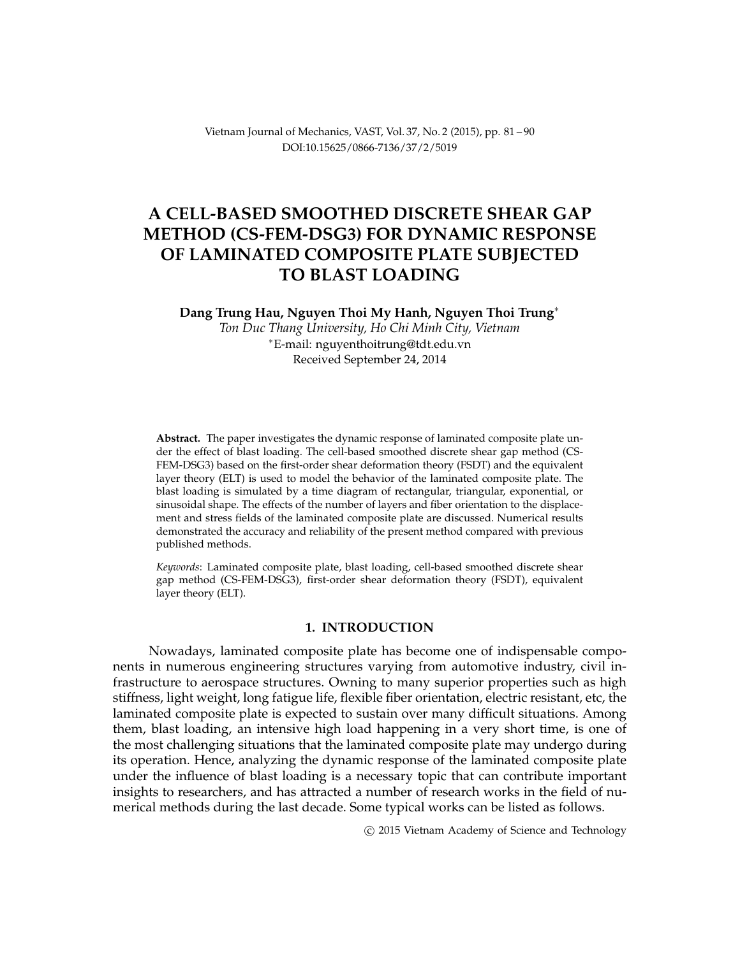Vietnam Journal of Mechanics, VAST, Vol. 37, No. 2 (2015), pp. 81 – 90 DOI[:10.15625/0866-7136/37/2/5019](http://dx.doi.org/10.15625/0866-7136/37/2/5019)

# **A CELL-BASED SMOOTHED DISCRETE SHEAR GAP METHOD (CS-FEM-DSG3) FOR DYNAMIC RESPONSE OF LAMINATED COMPOSITE PLATE SUBJECTED TO BLAST LOADING**

**Dang Trung Hau, Nguyen Thoi My Hanh, Nguyen Thoi Trung**<sup>∗</sup>

*Ton Duc Thang University, Ho Chi Minh City, Vietnam* <sup>∗</sup>E-mail: [nguyenthoitrung@tdt.edu.vn](mailto: nguyenthoitrung@tdt.edu.vn) Received September 24, 2014

**Abstract.** The paper investigates the dynamic response of laminated composite plate under the effect of blast loading. The cell-based smoothed discrete shear gap method (CS-FEM-DSG3) based on the first-order shear deformation theory (FSDT) and the equivalent layer theory (ELT) is used to model the behavior of the laminated composite plate. The blast loading is simulated by a time diagram of rectangular, triangular, exponential, or sinusoidal shape. The effects of the number of layers and fiber orientation to the displacement and stress fields of the laminated composite plate are discussed. Numerical results demonstrated the accuracy and reliability of the present method compared with previous published methods.

*Keywords*: Laminated composite plate, blast loading, cell-based smoothed discrete shear gap method (CS-FEM-DSG3), first-order shear deformation theory (FSDT), equivalent layer theory (ELT).

### **1. INTRODUCTION**

Nowadays, laminated composite plate has become one of indispensable components in numerous engineering structures varying from automotive industry, civil infrastructure to aerospace structures. Owning to many superior properties such as high stiffness, light weight, long fatigue life, flexible fiber orientation, electric resistant, etc, the laminated composite plate is expected to sustain over many difficult situations. Among them, blast loading, an intensive high load happening in a very short time, is one of the most challenging situations that the laminated composite plate may undergo during its operation. Hence, analyzing the dynamic response of the laminated composite plate under the influence of blast loading is a necessary topic that can contribute important insights to researchers, and has attracted a number of research works in the field of numerical methods during the last decade. Some typical works can be listed as follows.

c 2015 Vietnam Academy of Science and Technology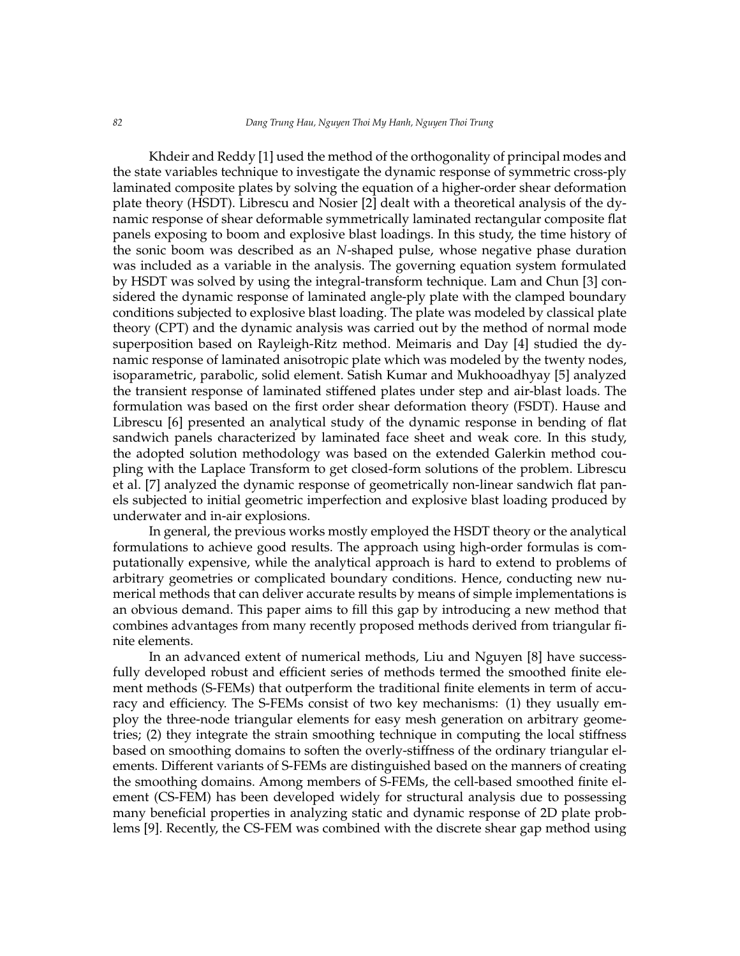Khdeir and Reddy [\[1\]](#page-8-0) used the method of the orthogonality of principal modes and the state variables technique to investigate the dynamic response of symmetric cross-ply laminated composite plates by solving the equation of a higher-order shear deformation plate theory (HSDT). Librescu and Nosier [\[2\]](#page-8-1) dealt with a theoretical analysis of the dynamic response of shear deformable symmetrically laminated rectangular composite flat panels exposing to boom and explosive blast loadings. In this study, the time history of the sonic boom was described as an *N*-shaped pulse, whose negative phase duration was included as a variable in the analysis. The governing equation system formulated by HSDT was solved by using the integral-transform technique. Lam and Chun [\[3\]](#page-8-2) considered the dynamic response of laminated angle-ply plate with the clamped boundary conditions subjected to explosive blast loading. The plate was modeled by classical plate theory (CPT) and the dynamic analysis was carried out by the method of normal mode superposition based on Rayleigh-Ritz method. Meimaris and Day [\[4\]](#page-8-3) studied the dynamic response of laminated anisotropic plate which was modeled by the twenty nodes, isoparametric, parabolic, solid element. Satish Kumar and Mukhooadhyay [\[5\]](#page-8-4) analyzed the transient response of laminated stiffened plates under step and air-blast loads. The formulation was based on the first order shear deformation theory (FSDT). Hause and Librescu [\[6\]](#page-8-5) presented an analytical study of the dynamic response in bending of flat sandwich panels characterized by laminated face sheet and weak core. In this study, the adopted solution methodology was based on the extended Galerkin method coupling with the Laplace Transform to get closed-form solutions of the problem. Librescu et al. [\[7\]](#page-8-6) analyzed the dynamic response of geometrically non-linear sandwich flat panels subjected to initial geometric imperfection and explosive blast loading produced by underwater and in-air explosions.

In general, the previous works mostly employed the HSDT theory or the analytical formulations to achieve good results. The approach using high-order formulas is computationally expensive, while the analytical approach is hard to extend to problems of arbitrary geometries or complicated boundary conditions. Hence, conducting new numerical methods that can deliver accurate results by means of simple implementations is an obvious demand. This paper aims to fill this gap by introducing a new method that combines advantages from many recently proposed methods derived from triangular finite elements.

In an advanced extent of numerical methods, Liu and Nguyen [\[8\]](#page-8-7) have successfully developed robust and efficient series of methods termed the smoothed finite element methods (S-FEMs) that outperform the traditional finite elements in term of accuracy and efficiency. The S-FEMs consist of two key mechanisms: [\(1\)](#page-2-0) they usually employ the three-node triangular elements for easy mesh generation on arbitrary geometries; [\(2\)](#page-2-1) they integrate the strain smoothing technique in computing the local stiffness based on smoothing domains to soften the overly-stiffness of the ordinary triangular elements. Different variants of S-FEMs are distinguished based on the manners of creating the smoothing domains. Among members of S-FEMs, the cell-based smoothed finite element (CS-FEM) has been developed widely for structural analysis due to possessing many beneficial properties in analyzing static and dynamic response of 2D plate problems [\[9\]](#page-8-8). Recently, the CS-FEM was combined with the discrete shear gap method using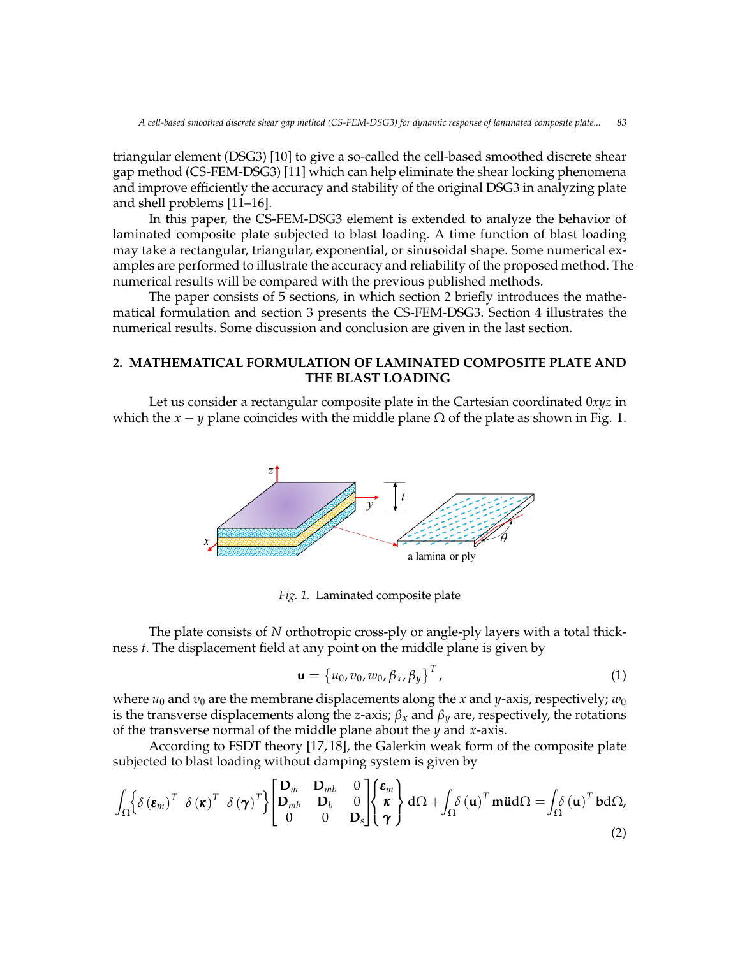triangular element (DSG3) [\[10\]](#page-8-9) to give a so-called the cell-based smoothed discrete shear gap method (CS-FEM-DSG3) [\[11\]](#page-8-10) which can help eliminate the shear locking phenomena and improve efficiently the accuracy and stability of the original DSG3 in analyzing plate and shell problems [\[11](#page-8-10)[–16\]](#page-9-0).

In this paper, the CS-FEM-DSG3 element is extended to analyze the behavior of laminated composite plate subjected to blast loading. A time function of blast loading may take a rectangular, triangular, exponential, or sinusoidal shape. Some numerical examples are performed to illustrate the accuracy and reliability of the proposed method. The numerical results will be compared with the previous published methods.

The paper consists of 5 sections, in which section 2 briefly introduces the mathematical formulation and section 3 presents the CS-FEM-DSG3. Section 4 illustrates the numerical results. Some discussion and conclusion are given in the last section.

# **2. MATHEMATICAL FORMULATION OF LAMINATED COMPOSITE PLATE AND THE BLAST LOADING**

Let us consider a rectangular composite plate in the Cartesian coordinated 0*xyz* in which the *x* − *y* plane coincides with the middle plane  $\Omega$  of the plate as shown in Fig. 1.



*Fig. 1.* Laminated composite plate

The plate consists of *N* orthotropic cross-ply or angle-ply layers with a total thickness *t*. The displacement field at any point on the middle plane is given by

<span id="page-2-0"></span>
$$
\mathbf{u} = \left\{ u_0, v_0, w_0, \beta_x, \beta_y \right\}^T, \tag{1}
$$

where  $u_0$  and  $v_0$  are the membrane displacements along the *x* and *y*-axis, respectively;  $w_0$ is the transverse displacements along the *z*-axis;  $\beta_x$  and  $\beta_y$  are, respectively, the rotations of the transverse normal of the middle plane about the *y* and *x*-axis.

According to FSDT theory [\[17,](#page-9-1) [18\]](#page-9-2), the Galerkin weak form of the composite plate subjected to blast loading without damping system is given by

<span id="page-2-1"></span>
$$
\int_{\Omega} \left\{ \delta \left( \boldsymbol{\varepsilon}_{m} \right)^{T} \delta \left( \boldsymbol{\varepsilon} \right)^{T} \delta \left( \boldsymbol{\gamma} \right)^{T} \right\} \begin{bmatrix} \mathbf{D}_{m} & \mathbf{D}_{m b} & 0 \\ \mathbf{D}_{m b} & \mathbf{D}_{b} & 0 \\ 0 & 0 & \mathbf{D}_{s} \end{bmatrix} \begin{Bmatrix} \boldsymbol{\varepsilon}_{m} \\ \boldsymbol{\kappa} \\ \boldsymbol{\gamma} \end{Bmatrix} d\Omega + \int_{\Omega} \delta \left( \mathbf{u} \right)^{T} \mathbf{m} \ddot{\mathbf{u}} d\Omega = \int_{\Omega} \delta \left( \mathbf{u} \right)^{T} \mathbf{b} d\Omega, \tag{2}
$$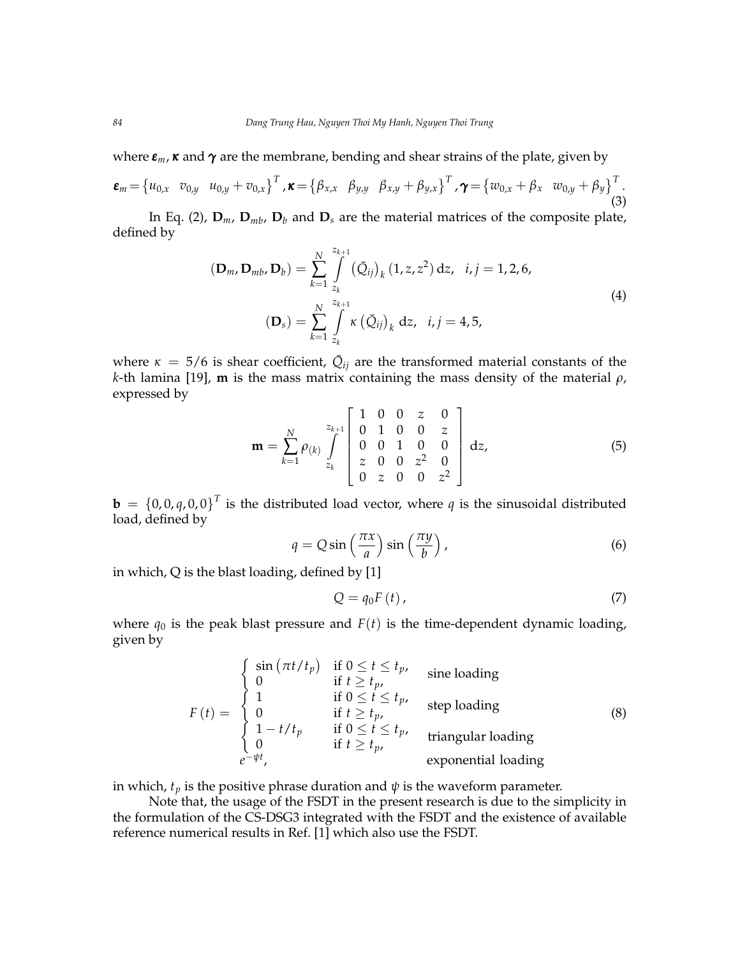where *εm*, *κ* and *γ* are the membrane, bending and shear strains of the plate, given by

$$
\boldsymbol{\varepsilon}_{m} = \begin{cases} u_{0,x} & v_{0,y} & u_{0,y} + v_{0,x} \end{cases}^{T}, \boldsymbol{\kappa} = \begin{cases} \beta_{x,x} & \beta_{y,y} & \beta_{x,y} + \beta_{y,x} \end{cases}^{T}, \boldsymbol{\gamma} = \begin{cases} w_{0,x} + \beta_{x} & w_{0,y} + \beta_{y} \end{cases}^{T}. \tag{3}
$$

In Eq. [\(2\)](#page-2-1),  $\mathbf{D}_m$ ,  $\mathbf{D}_{mb}$ ,  $\mathbf{D}_b$  and  $\mathbf{D}_s$  are the material matrices of the composite plate, defined by

$$
\left(\mathbf{D}_{m}, \mathbf{D}_{mb}, \mathbf{D}_{b}\right) = \sum_{k=1}^{N} \int_{z_k}^{z_{k+1}} \left(\bar{Q}_{ij}\right)_k (1, z, z^2) dz, \quad i, j = 1, 2, 6,
$$
\n
$$
\left(\mathbf{D}_s\right) = \sum_{k=1}^{N} \int_{z_k}^{z_{k+1}} \kappa \left(\bar{Q}_{ij}\right)_k dz, \quad i, j = 4, 5,
$$
\n
$$
(4)
$$

where  $\kappa = 5/6$  is shear coefficient,  $\overline{Q}_{ij}$  are the transformed material constants of the *k*-th lamina [\[19\]](#page-9-3), **m** is the mass matrix containing the mass density of the material *ρ*, expressed by

$$
\mathbf{m} = \sum_{k=1}^{N} \rho_{(k)} \int_{z_k}^{z_{k+1}} \begin{bmatrix} 1 & 0 & 0 & z & 0 \\ 0 & 1 & 0 & 0 & z \\ 0 & 0 & 1 & 0 & 0 \\ z & 0 & 0 & z^2 & 0 \\ 0 & z & 0 & 0 & z^2 \end{bmatrix} dz,
$$
 (5)

 $\mathbf{b} = \{0,0,q,0,0\}^T$  is the distributed load vector, where *q* is the sinusoidal distributed load, defined by

$$
q = Q\sin\left(\frac{\pi x}{a}\right)\sin\left(\frac{\pi y}{b}\right),\tag{6}
$$

in which, Q is the blast loading, defined by [\[1\]](#page-8-0)

$$
Q = q_0 F(t), \tag{7}
$$

where  $q_0$  is the peak blast pressure and  $F(t)$  is the time-dependent dynamic loading, given by

<span id="page-3-0"></span>
$$
F(t) = \begin{cases} \sin(\pi t/t_p) & \text{if } 0 \le t \le t_p, \\ 0 & \text{if } t \ge t_p, \\ 1 & \text{if } 0 \le t \le t_p, \\ 0 & \text{if } t \ge t_p, \\ 1 - t/t_p & \text{if } 0 \le t \le t_p, \\ 0 & \text{if } t \ge t_p, \\ 0 & \text{if } t \ge t_p, \end{cases} \quad \text{triangular loading} \tag{8}
$$

in which,  $t_p$  is the positive phrase duration and  $\psi$  is the waveform parameter.

Note that, the usage of the FSDT in the present research is due to the simplicity in the formulation of the CS-DSG3 integrated with the FSDT and the existence of available reference numerical results in Ref. [\[1\]](#page-8-0) which also use the FSDT.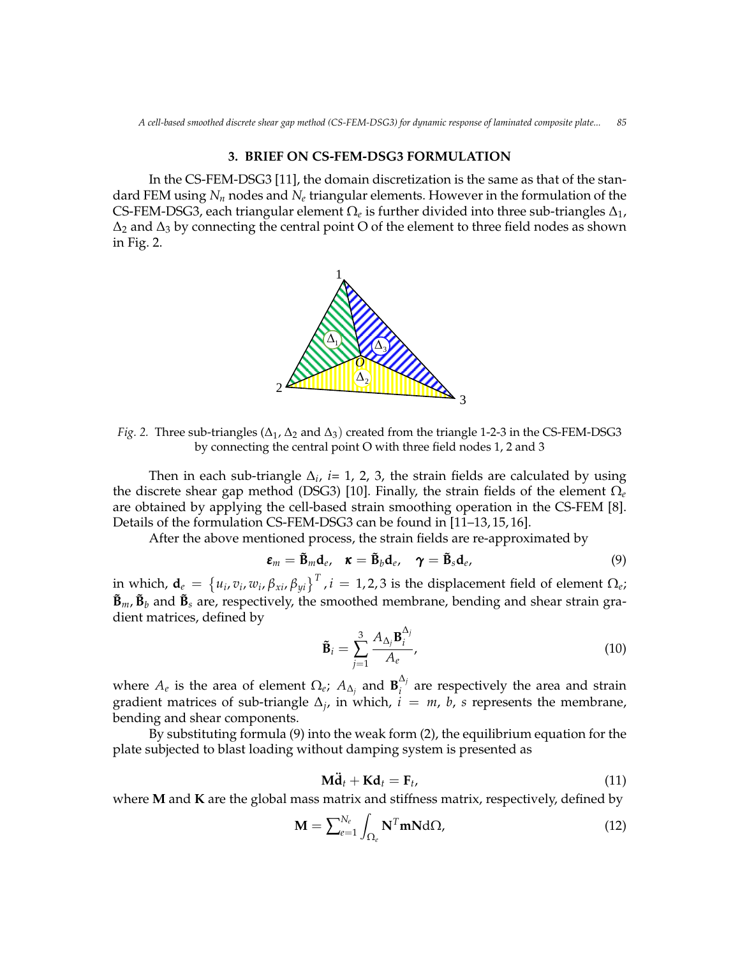# **3. BRIEF ON CS-FEM-DSG3 FORMULATION**

In the CS-FEM-DSG3 [\[11\]](#page-8-10), the domain discretization is the same as that of the standard FEM using *N<sup>n</sup>* nodes and *N<sup>e</sup>* triangular elements. However in the formulation of the CS-FEM-DSG3, each triangular element  $\Omega_e$  is further divided into three sub-triangles  $\Delta_1$ ,  $\Delta_2$  and  $\Delta_3$  by connecting the central point O of the element to three field nodes as shown<br>in Fig. 2 in Fig. 2.  $\ldots$   $\ldots$   $\ldots$   $\ldots$   $\ldots$   $\ldots$   $\ldots$   $\ldots$   $\ldots$   $\ldots$   $\ldots$   $\ldots$   $\ldots$   $\ldots$   $\ldots$   $\ldots$   $\ldots$   $\ldots$   $\ldots$   $\ldots$   $\ldots$   $\ldots$   $\ldots$   $\ldots$   $\ldots$   $\ldots$   $\ldots$   $\ldots$   $\ldots$   $\ldots$   $\ldots$   $\ldots$   $\ldots$   $\ldots$   $\ldots$   $\ldots$   $\ldots$ 



*Fig.* 2. Three sub-triangles ( $\Delta_1$ ,  $\Delta_2$  and  $\Delta_3$ ) created from the triangle 1-2-3 in the CS-FEM-DSG3 by connecting the central point O with three field nodes 1, 2 and 3

Then in each sub-triangle  $\Delta_i$ , *i*= 1, 2, 3, the strain fields are calculated by using the discrete shear gap method (DSG3) [\[10\]](#page-8-9). Finally, the strain fields of the element  $\Omega_e$ are obtained by applying the cell-based strain smoothing operation in the CS-FEM [\[8\]](#page-8-7). Details of the formulation CS-FEM-DSG3 can be found in [\[11](#page-8-10)-13, [15,](#page-8-12) [16\]](#page-9-0).

After the above mentioned process, the strain fields are re-approximated by After the above mentioned process, the strain fields are re-approximated by

<span id="page-4-0"></span>
$$
\boldsymbol{\varepsilon}_m = \tilde{\mathbf{B}}_m \mathbf{d}_e, \quad \boldsymbol{\kappa} = \tilde{\mathbf{B}}_b \mathbf{d}_e, \quad \boldsymbol{\gamma} = \tilde{\mathbf{B}}_s \mathbf{d}_e, \tag{9}
$$

in which,  $\mathbf{a}_e = \{u_i, v_i, w_i, p_{xi}, p_{yi}\}\$ ,  $i = 1, 2, 3$  is the displacement field of element  $\Omega_e$ ;<br> $\mathbf{\tilde{B}}_m$ ,  $\mathbf{\tilde{B}}_b$  and  $\mathbf{\tilde{B}}_s$  are, respectively, the smoothed membrane, bending and shear strain grain which,  $\mathbf{d}_e = \left\{u_i, v_i, w_i, \beta_{xi}, \beta_{yi}\right\}^T$  ,  $i=1,2,3$  is the displacement field of element  $\Omega_e$ ; dient matrices, defined by and shear strain gradient matrices, defined by

<span id="page-4-1"></span>
$$
\tilde{\mathbf{B}}_i = \sum_{j=1}^3 \frac{A_{\Delta_j} \mathbf{B}_i^{\Delta_j}}{A_e},\tag{10}
$$

 $\lambda_i$  are recreatively the area and str bending and shear components. and are respectively the area and the strain gradient where  $A_e$  is the area of element  $\Omega_e$ ;  $A_{\Delta_j}$  and  $\mathbf{B}_i^{\Delta_j}$  $\mathbf{a}^{\prime}$  are respectively the area and strain gradient matrices of sub-triangle  $\Delta_j$ , in which,  $i = m$ , *b*, *s* represents the membrane,

ply subsuluuli<br>Islamatrix of the subjected to ble By substituting formula [\(9\)](#page-4-0) into the weak form [\(2\)](#page-2-1), the equilibrium equation for the plate subjected to blast loading without damping system is presented as

$$
\mathbf{M}\ddot{\mathbf{d}}_t + \mathbf{K}\mathbf{d}_t = \mathbf{F}_t, \tag{11}
$$

where **M** and **K** are the global mass matrix and stiffness matrix, respectively, defined by

$$
\mathbf{M} = \sum_{e=1}^{N_e} \int_{\Omega_e} \mathbf{N}^T \mathbf{m} \mathbf{N} \, d\Omega,\tag{12}
$$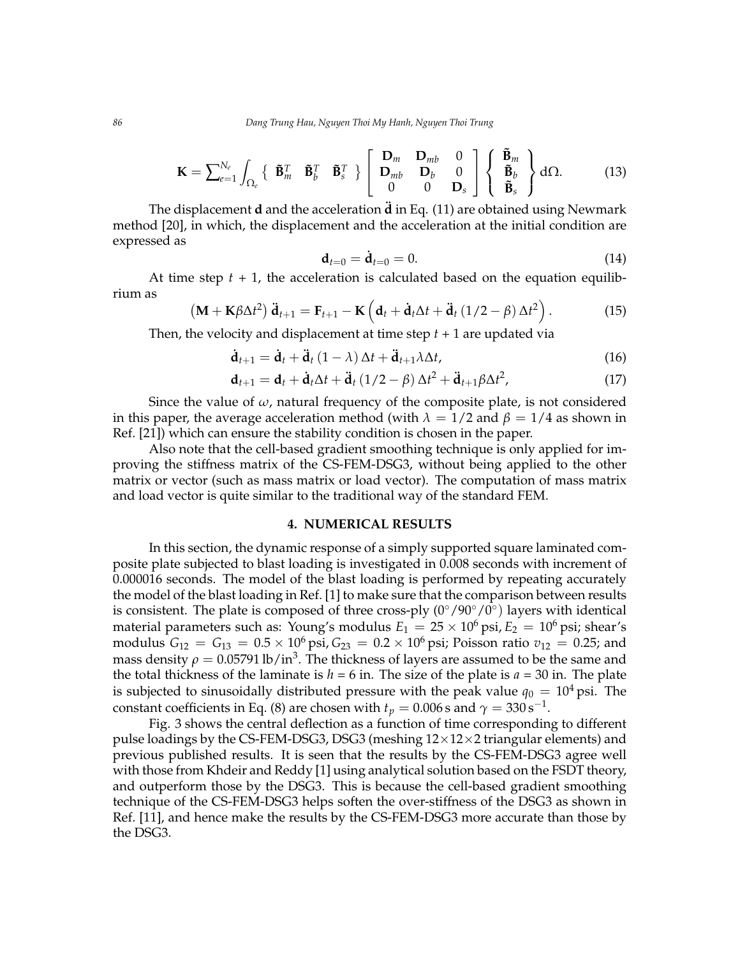*86 Dang Trung Hau, Nguyen Thoi My Hanh, Nguyen Thoi Trung*

$$
\mathbf{K} = \sum_{e=1}^{N_e} \int_{\Omega_e} \left\{ \begin{array}{c} \tilde{\mathbf{B}}_m^T & \tilde{\mathbf{B}}_b^T & \tilde{\mathbf{B}}_s^T \end{array} \right\} \left[ \begin{array}{ccc} \mathbf{D}_m & \mathbf{D}_{mb} & 0 \\ \mathbf{D}_{mb} & \mathbf{D}_b & 0 \\ 0 & 0 & \mathbf{D}_s \end{array} \right] \left\{ \begin{array}{c} \tilde{\mathbf{B}}_m \\ \tilde{\mathbf{B}}_b \\ \tilde{\mathbf{B}}_s \end{array} \right\} d\Omega. \tag{13}
$$

The displacement **d** and the acceleration **d¨** in Eq. [\(11\)](#page-4-1) are obtained using Newmark method [\[20\]](#page-9-4), in which, the displacement and the acceleration at the initial condition are expressed as

$$
\mathbf{d}_{t=0} = \dot{\mathbf{d}}_{t=0} = 0. \tag{14}
$$

At time step  $t + 1$ , the acceleration is calculated based on the equation equilibrium as

$$
\left(\mathbf{M} + \mathbf{K}\beta\Delta t^2\right)\ddot{\mathbf{d}}_{t+1} = \mathbf{F}_{t+1} - \mathbf{K}\left(\mathbf{d}_t + \dot{\mathbf{d}}_t\Delta t + \ddot{\mathbf{d}}_t\left(1/2 - \beta\right)\Delta t^2\right). \tag{15}
$$

Then, the velocity and displacement at time step *t* + 1 are updated via

$$
\dot{\mathbf{d}}_{t+1} = \dot{\mathbf{d}}_t + \ddot{\mathbf{d}}_t (1 - \lambda) \Delta t + \ddot{\mathbf{d}}_{t+1} \lambda \Delta t, \tag{16}
$$

$$
\mathbf{d}_{t+1} = \mathbf{d}_t + \dot{\mathbf{d}}_t \Delta t + \ddot{\mathbf{d}}_t (1/2 - \beta) \Delta t^2 + \ddot{\mathbf{d}}_{t+1} \beta \Delta t^2, \tag{17}
$$

Since the value of  $\omega$ , natural frequency of the composite plate, is not considered in this paper, the average acceleration method (with  $\lambda = 1/2$  and  $\beta = 1/4$  as shown in Ref. [\[21\]](#page-9-5)) which can ensure the stability condition is chosen in the paper.

Also note that the cell-based gradient smoothing technique is only applied for improving the stiffness matrix of the CS-FEM-DSG3, without being applied to the other matrix or vector (such as mass matrix or load vector). The computation of mass matrix and load vector is quite similar to the traditional way of the standard FEM.

# **4. NUMERICAL RESULTS**

In this section, the dynamic response of a simply supported square laminated composite plate subjected to blast loading is investigated in 0.008 seconds with increment of 0.000016 seconds. The model of the blast loading is performed by repeating accurately the model of the blast loading in Ref. [\[1\]](#page-8-0) to make sure that the comparison between results is consistent. The plate is composed of three cross-ply  $(0^{\circ}/90^{\circ}/0^{\circ})$  layers with identical material parameters such as: Young's modulus  $E_1 = 25 \times 10^6$  psi,  $E_2 = 10^6$  psi; shear's modulus  $G_{12} = G_{13} = 0.5 \times 10^6 \text{ psi}$ ,  $G_{23} = 0.2 \times 10^6 \text{ psi}$ ; Poisson ratio  $v_{12} = 0.25$ ; and mass density  $\rho = 0.05791 \, \text{lb/in}^3.$  The thickness of layers are assumed to be the same and the total thickness of the laminate is  $h = 6$  in. The size of the plate is  $a = 30$  in. The plate is subjected to sinusoidally distributed pressure with the peak value  $q_0 = 10^4$  psi. The constant coefficients in Eq. [\(8\)](#page-3-0) are chosen with  $t_p=0.006\,\text{s}$  and  $\gamma=330\,\text{s}^{-1}.$ 

Fig. 3 shows the central deflection as a function of time corresponding to different pulse loadings by the CS-FEM-DSG3, DSG3 (meshing  $12\times12\times2$  triangular elements) and previous published results. It is seen that the results by the CS-FEM-DSG3 agree well with those from Khdeir and Reddy [\[1\]](#page-8-0) using analytical solution based on the FSDT theory, and outperform those by the DSG3. This is because the cell-based gradient smoothing technique of the CS-FEM-DSG3 helps soften the over-stiffness of the DSG3 as shown in Ref. [\[11\]](#page-8-10), and hence make the results by the CS-FEM-DSG3 more accurate than those by the DSG3.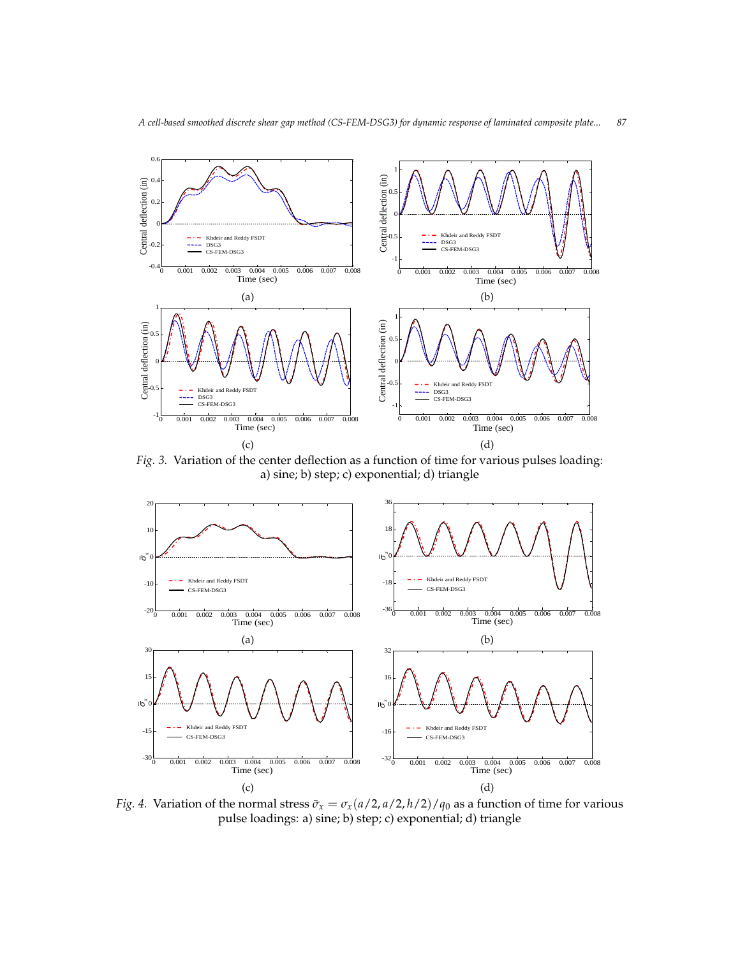

f the center deflection as a function of time for varies 3. Variation of the center deflection as a function of time for various Fig. 3. Variation of the center deflection as a function of time for various pulses loading: *Fig. 3.* Variation of the center deflection as a function of time for various pulses loading: a) sine; *Fig.*  $\frac{1}{2}$  *3.*  $\frac{1}{2}$  (3.3.1)  $\frac{1}{2}$  a) sine; b) step; c) exponential; d) triangle a) sine; b) step; c) exponential; d) triangle Fig. 3. Variation of the center deflection as a function of time for various pulses loading: Sine Fig. 3. Variation of the center deflection as a function of time for various pulses loading:<br> $\frac{1}{2}$ ,  $\frac{1}{2}$ ,  $\frac{1}{2}$ ,  $\frac{1}{2}$ ,  $\frac{1}{2}$ ,  $\frac{1}{2}$ ,  $\frac{1}{2}$ ,  $\frac{1}{2}$ ,  $\frac{1}{2}$ ,  $\frac{1}{2}$ ,  $\frac{1}{2}$ ,  $\frac{1}{2$ 



ลา Khdeir and Reddy FSDT Variation of the normal stress  $\bar{\sigma}_x = \sigma_x(a/2,a/2,h/2)/q_0$  as a funct *<sup>x</sup>* ۹r Khdeir and Reddy FSDT Variation of the normal stress  $\bar{\sigma}_x = \sigma_x(a/2, a/2, h/2)/q_0$  as a function of time for various pulse lo  $\cdot$ ential; d) triangle pulse lo  $, \circ$ ential; d) triangle pulse loadings: a) sine; b) step; c) exponential; d) triangle  $\frac{1}{2}$  sine; b) since; b) step; c) exponential; d) triangle.  $\hat{f}$  *b*  $\hat{f}$  and  $\hat{f}$  and  $\hat{f}$  are  $\hat{f}$   $\hat{f}$  are  $\hat{f}$   $\hat{f}$  as  $\hat{f}$   $\hat{f}$  are  $\hat{f}$   $\hat{f}$  and  $\hat{f}$  are  $\hat{f}$  and  $\hat{f}$  are  $\hat{f}$  and  $\hat{f}$  are  $\hat{f}$  and  $\hat{f}$  are  $\hat{f}$  an *Fig.* 4. Variation of the normal stress  $\bar{\sigma}_x = \sigma_x(a/2, a/2, h/2)/q_0$  as a function of time for various pulse loadings: a) sine; b) step; c) exponential; d) triangle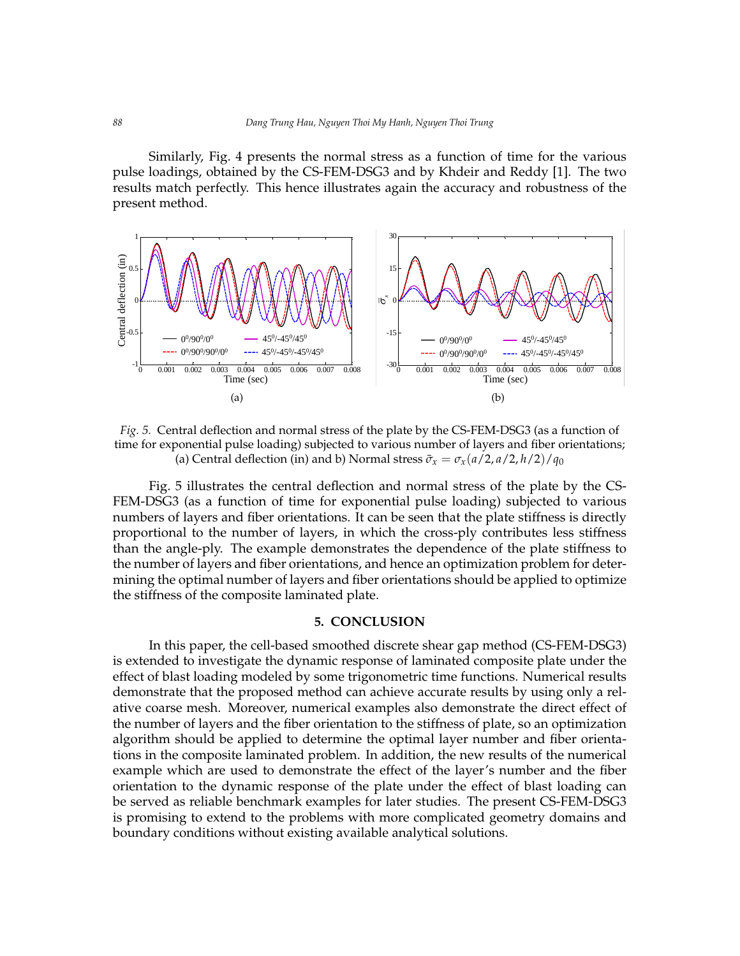Similarly, Fig. 4 presents the normal stress as a function of time for the various pulse loadings, obtained by the CS-FEM-DSG3 and by Khdeir and Reddy [\[1\]](#page-8-0). The two results match perfectly. This hence illustrates again the accuracy and robustness of the present method. present method. present method. This hence is a gain the accuracy and robustness of the present method.



*Fig.* 5. Central deflection and normal stress of the plate by the CS-FEM-DSG3 (as a function of time for exponential pulse loading) subjected to various number of layers and fiber orientations; (a) Central deflection (in) and b) Normal stress  $\bar{\sigma}_x = \sigma_x(a/2, a/2, h/2)/q_0$ *x x*

Fig. 5 illustrates the central deflection and normal stress of the plate by the CS-DSG3 (as a function of time for exponential pulse loading) subjected to various numbers of manders or layers and their orientations. It can be seen that the plate stiffness is directly proportional to the number of layers, in which the cross-ply-contributes ress-stiffness to<br>than the angle-ply. The example demonstrates the dependence of the plate stiffness to the number of layers and fiber orientations, and hence an optimization problem for determining the optimal number of layers and fiber orientations should be applied to optimize the stiffness of the composite laminated plate. FEM-DSG3 (as a function of time for exponential pulse loading) subjected to various numbers of layers and fiber orientations. It can be seen that the plate stiffness is directly proportional to the number of layers, in which the cross-ply contributes less stiffness than the angle-ply. The example demonstrates the dependence of the plate stiffness to the number of layers and fiber and fiber and fiber and fiber angles of the plate stiffness to

## **5. CONCLUSION**

In this paper, the cell-based smoothed discrete shear gap method (CS-FEM-DSG3) is extended to investigate the dynamic response of laminated composite plate under the effect of blast loading modeled by some trigonometric time functions. Numerical results demonstrate that the proposed method can achieve accurate results by using only a relative coarse mesh. Moreover, numerical examples also demonstrate the direct effect of the number of layers and the fiber orientation to the stiffness of plate, so an optimization algorithm should be applied to determine the optimal layer number and fiber orientations in the composite laminated problem. In addition, the new results of the numerical example which are used to demonstrate the effect of the layer's number and the fiber orientation to the dynamic response of the plate under the effect of blast loading can be served as reliable benchmark examples for later studies. The present CS-FEM-DSG3 is promising to extend to the problems with more complicated geometry domains and boundary conditions without existing available analytical solutions.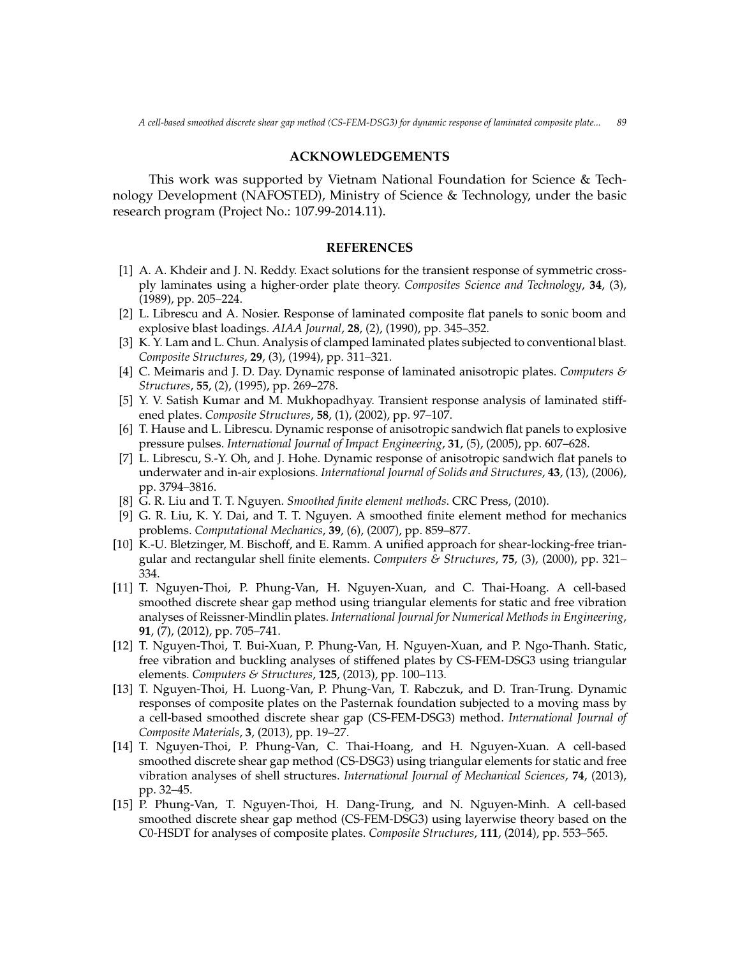## **ACKNOWLEDGEMENTS**

This work was supported by Vietnam National Foundation for Science & Technology Development (NAFOSTED), Ministry of Science & Technology, under the basic research program (Project No.: 107.99-2014.11).

#### **REFERENCES**

- <span id="page-8-0"></span>[1] A. A. Khdeir and J. N. Reddy. Exact solutions for the transient response of symmetric crossply laminates using a higher-order plate theory. *Composites Science and Technology*, **34**, (3), (1989), pp. 205–224.
- <span id="page-8-1"></span>[2] L. Librescu and A. Nosier. Response of laminated composite flat panels to sonic boom and explosive blast loadings. *AIAA Journal*, **28**, (2), (1990), pp. 345–352.
- <span id="page-8-2"></span>[3] K. Y. Lam and L. Chun. Analysis of clamped laminated plates subjected to conventional blast. *Composite Structures*, **29**, (3), (1994), pp. 311–321.
- <span id="page-8-3"></span>[4] C. Meimaris and J. D. Day. Dynamic response of laminated anisotropic plates. *Computers & Structures*, **55**, (2), (1995), pp. 269–278.
- <span id="page-8-4"></span>[5] Y. V. Satish Kumar and M. Mukhopadhyay. Transient response analysis of laminated stiffened plates. *Composite Structures*, **58**, (1), (2002), pp. 97–107.
- <span id="page-8-5"></span>[6] T. Hause and L. Librescu. Dynamic response of anisotropic sandwich flat panels to explosive pressure pulses. *International Journal of Impact Engineering*, **31**, (5), (2005), pp. 607–628.
- <span id="page-8-6"></span>[7] L. Librescu, S.-Y. Oh, and J. Hohe. Dynamic response of anisotropic sandwich flat panels to underwater and in-air explosions. *International Journal of Solids and Structures*, **43**, (13), (2006), pp. 3794–3816.
- <span id="page-8-7"></span>[8] G. R. Liu and T. T. Nguyen. *Smoothed finite element methods*. CRC Press, (2010).
- <span id="page-8-8"></span>[9] G. R. Liu, K. Y. Dai, and T. T. Nguyen. A smoothed finite element method for mechanics problems. *Computational Mechanics*, **39**, (6), (2007), pp. 859–877.
- <span id="page-8-9"></span>[10] K.-U. Bletzinger, M. Bischoff, and E. Ramm. A unified approach for shear-locking-free triangular and rectangular shell finite elements. *Computers & Structures*, **75**, (3), (2000), pp. 321– 334.
- <span id="page-8-10"></span>[11] T. Nguyen-Thoi, P. Phung-Van, H. Nguyen-Xuan, and C. Thai-Hoang. A cell-based smoothed discrete shear gap method using triangular elements for static and free vibration analyses of Reissner-Mindlin plates. *International Journal for Numerical Methods in Engineering*, **91**, (7), (2012), pp. 705–741.
- [12] T. Nguyen-Thoi, T. Bui-Xuan, P. Phung-Van, H. Nguyen-Xuan, and P. Ngo-Thanh. Static, free vibration and buckling analyses of stiffened plates by CS-FEM-DSG3 using triangular elements. *Computers & Structures*, **125**, (2013), pp. 100–113.
- <span id="page-8-11"></span>[13] T. Nguyen-Thoi, H. Luong-Van, P. Phung-Van, T. Rabczuk, and D. Tran-Trung. Dynamic responses of composite plates on the Pasternak foundation subjected to a moving mass by a cell-based smoothed discrete shear gap (CS-FEM-DSG3) method. *International Journal of Composite Materials*, **3**, (2013), pp. 19–27.
- [14] T. Nguyen-Thoi, P. Phung-Van, C. Thai-Hoang, and H. Nguyen-Xuan. A cell-based smoothed discrete shear gap method (CS-DSG3) using triangular elements for static and free vibration analyses of shell structures. *International Journal of Mechanical Sciences*, **74**, (2013), pp. 32–45.
- <span id="page-8-12"></span>[15] P. Phung-Van, T. Nguyen-Thoi, H. Dang-Trung, and N. Nguyen-Minh. A cell-based smoothed discrete shear gap method (CS-FEM-DSG3) using layerwise theory based on the C0-HSDT for analyses of composite plates. *Composite Structures*, **111**, (2014), pp. 553–565.